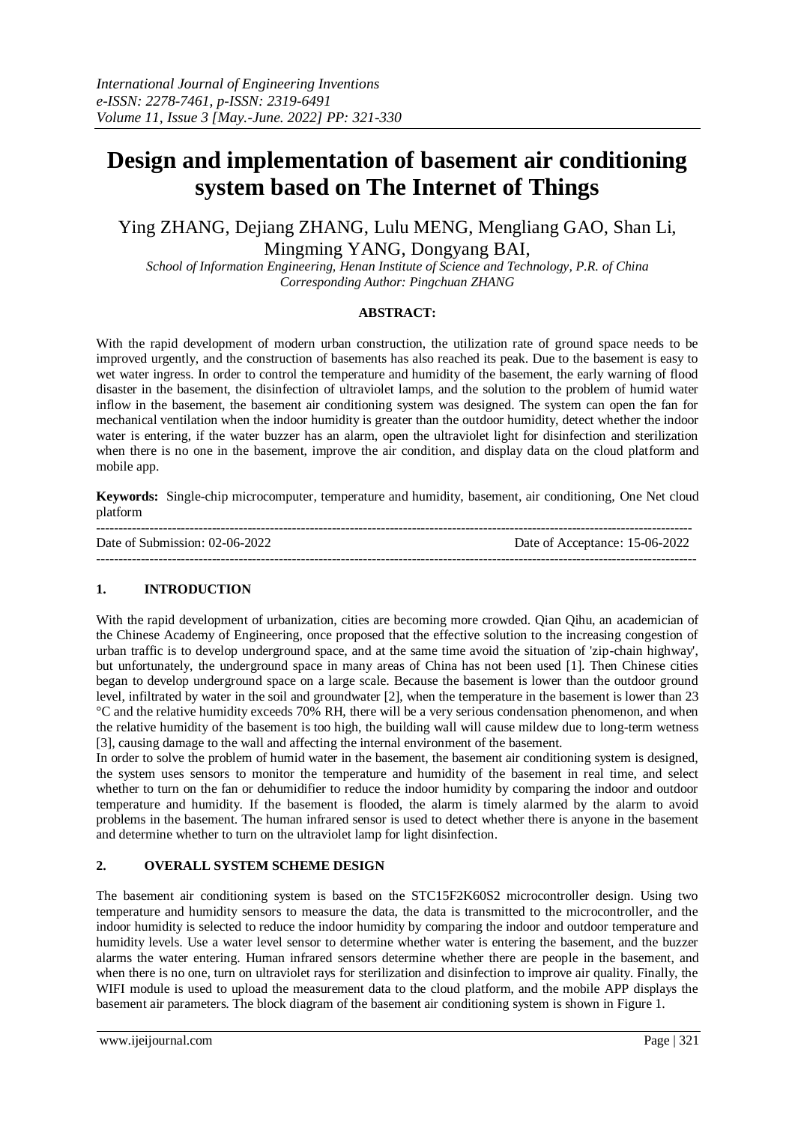# **Design and implementation of basement air conditioning system based on The Internet of Things**

# Ying ZHANG, Dejiang ZHANG, Lulu MENG, Mengliang GAO, Shan Li, Mingming YANG, Dongyang BAI,

*School of Information Engineering, Henan Institute of Science and Technology, P.R. of China Corresponding Author: Pingchuan ZHANG*

#### **ABSTRACT:**

With the rapid development of modern urban construction, the utilization rate of ground space needs to be improved urgently, and the construction of basements has also reached its peak. Due to the basement is easy to wet water ingress. In order to control the temperature and humidity of the basement, the early warning of flood disaster in the basement, the disinfection of ultraviolet lamps, and the solution to the problem of humid water inflow in the basement, the basement air conditioning system was designed. The system can open the fan for mechanical ventilation when the indoor humidity is greater than the outdoor humidity, detect whether the indoor water is entering, if the water buzzer has an alarm, open the ultraviolet light for disinfection and sterilization when there is no one in the basement, improve the air condition, and display data on the cloud platform and mobile app.

**Keywords:** Single-chip microcomputer, temperature and humidity, basement, air conditioning, One Net cloud platform

| Date of Submission: 02-06-2022 | Date of Acceptance: 15-06-2022 |
|--------------------------------|--------------------------------|
|                                |                                |

# **1. INTRODUCTION**

With the rapid development of urbanization, cities are becoming more crowded. Qian Qihu, an academician of the Chinese Academy of Engineering, once proposed that the effective solution to the increasing congestion of urban traffic is to develop underground space, and at the same time avoid the situation of 'zip-chain highway', but unfortunately, the underground space in many areas of China has not been used [1]. Then Chinese cities began to develop underground space on a large scale. Because the basement is lower than the outdoor ground level, infiltrated by water in the soil and groundwater [2], when the temperature in the basement is lower than 23 °C and the relative humidity exceeds 70% RH, there will be a very serious condensation phenomenon, and when the relative humidity of the basement is too high, the building wall will cause mildew due to long-term wetness [3], causing damage to the wall and affecting the internal environment of the basement.

In order to solve the problem of humid water in the basement, the basement air conditioning system is designed, the system uses sensors to monitor the temperature and humidity of the basement in real time, and select whether to turn on the fan or dehumidifier to reduce the indoor humidity by comparing the indoor and outdoor temperature and humidity. If the basement is flooded, the alarm is timely alarmed by the alarm to avoid problems in the basement. The human infrared sensor is used to detect whether there is anyone in the basement and determine whether to turn on the ultraviolet lamp for light disinfection.

# **2. OVERALL SYSTEM SCHEME DESIGN**

The basement air conditioning system is based on the STC15F2K60S2 microcontroller design. Using two temperature and humidity sensors to measure the data, the data is transmitted to the microcontroller, and the indoor humidity is selected to reduce the indoor humidity by comparing the indoor and outdoor temperature and humidity levels. Use a water level sensor to determine whether water is entering the basement, and the buzzer alarms the water entering. Human infrared sensors determine whether there are people in the basement, and when there is no one, turn on ultraviolet rays for sterilization and disinfection to improve air quality. Finally, the WIFI module is used to upload the measurement data to the cloud platform, and the mobile APP displays the basement air parameters. The block diagram of the basement air conditioning system is shown in Figure 1.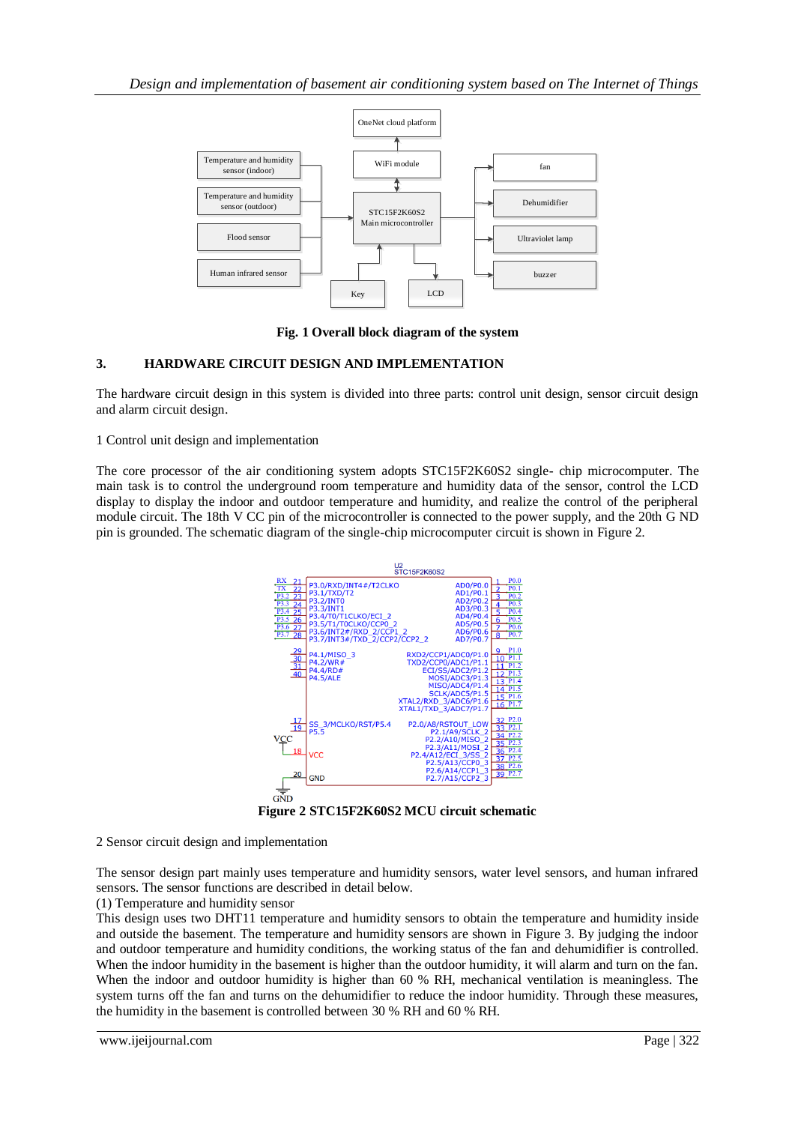

**Fig. 1 Overall block diagram of the system**

# **3. HARDWARE CIRCUIT DESIGN AND IMPLEMENTATION**

The hardware circuit design in this system is divided into three parts: control unit design, sensor circuit design and alarm circuit design.

1 Control unit design and implementation

The core processor of the air conditioning system adopts STC15F2K60S2 single- chip microcomputer. The main task is to control the underground room temperature and humidity data of the sensor, control the LCD display to display the indoor and outdoor temperature and humidity, and realize the control of the peripheral module circuit. The 18th V CC pin of the microcontroller is connected to the power supply, and the 20th G ND pin is grounded. The schematic diagram of the single-chip microcomputer circuit is shown in Figure 2.



**Figure 2 STC15F2K60S2 MCU circuit schematic**

2 Sensor circuit design and implementation

The sensor design part mainly uses temperature and humidity sensors, water level sensors, and human infrared sensors. The sensor functions are described in detail below.

(1) Temperature and humidity sensor

This design uses two DHT11 temperature and humidity sensors to obtain the temperature and humidity inside and outside the basement. The temperature and humidity sensors are shown in Figure 3. By judging the indoor and outdoor temperature and humidity conditions, the working status of the fan and dehumidifier is controlled. When the indoor humidity in the basement is higher than the outdoor humidity, it will alarm and turn on the fan. When the indoor and outdoor humidity is higher than 60 % RH, mechanical ventilation is meaningless. The system turns off the fan and turns on the dehumidifier to reduce the indoor humidity. Through these measures, the humidity in the basement is controlled between 30 % RH and 60 % RH.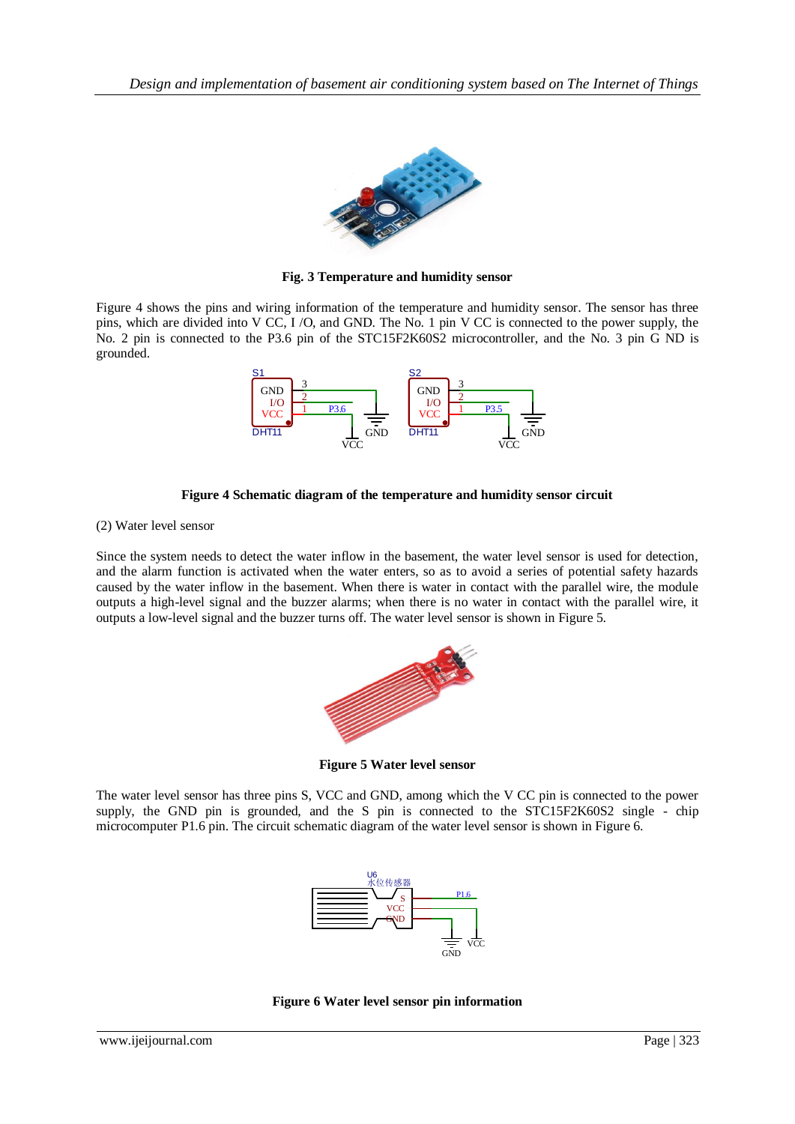

**Fig. 3 Temperature and humidity sensor**

Figure 4 shows the pins and wiring information of the temperature and humidity sensor. The sensor has three pins, which are divided into V CC, I /O, and GND. The No. 1 pin V CC is connected to the power supply, the No. 2 pin is connected to the P3.6 pin of the STC15F2K60S2 microcontroller, and the No. 3 pin G ND is grounded.





(2) Water level sensor

Since the system needs to detect the water inflow in the basement, the water level sensor is used for detection, and the alarm function is activated when the water enters, so as to avoid a series of potential safety hazards caused by the water inflow in the basement. When there is water in contact with the parallel wire, the module outputs a high-level signal and the buzzer alarms; when there is no water in contact with the parallel wire, it outputs a low-level signal and the buzzer turns off. The water level sensor is shown in Figure 5.



**Figure 5 Water level sensor**

The water level sensor has three pins S, VCC and GND, among which the V CC pin is connected to the power supply, the GND pin is grounded, and the S pin is connected to the STC15F2K60S2 single - chip microcomputer P1.6 pin. The circuit schematic diagram of the water level sensor is shown in Figure 6.



**Figure 6 Water level sensor pin information**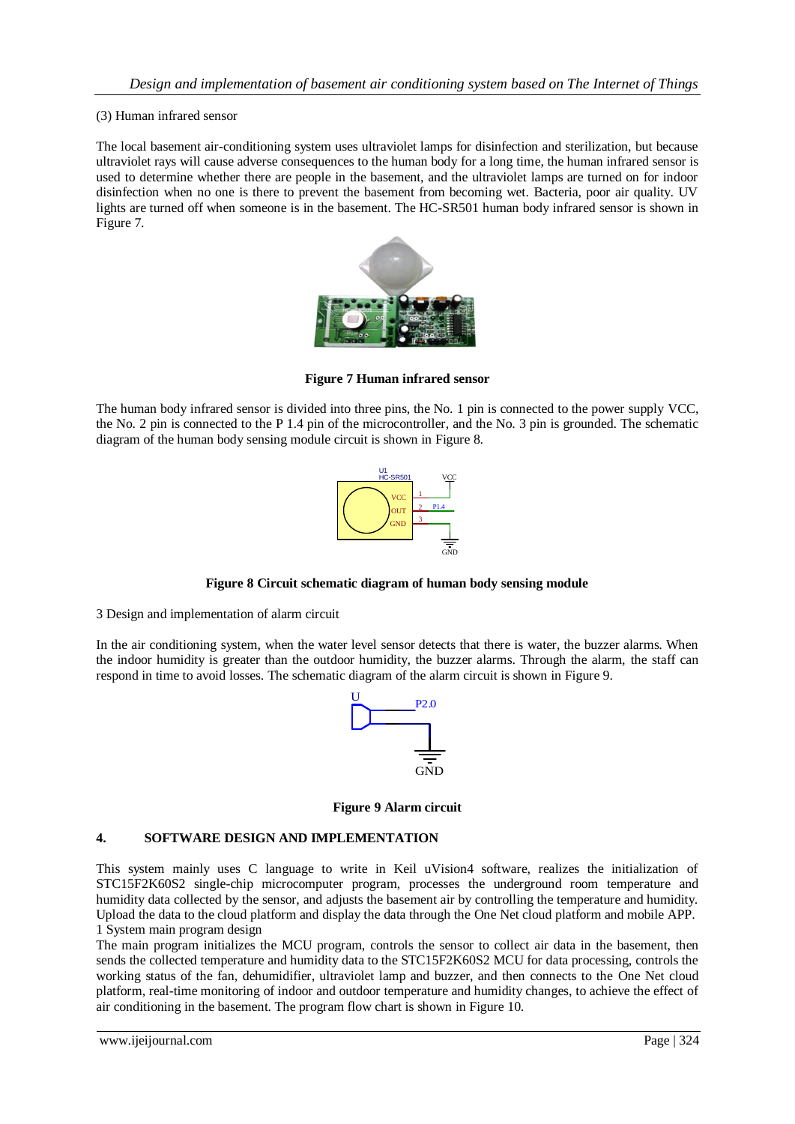#### (3) Human infrared sensor

The local basement air-conditioning system uses ultraviolet lamps for disinfection and sterilization, but because ultraviolet rays will cause adverse consequences to the human body for a long time, the human infrared sensor is used to determine whether there are people in the basement, and the ultraviolet lamps are turned on for indoor disinfection when no one is there to prevent the basement from becoming wet. Bacteria, poor air quality. UV lights are turned off when someone is in the basement. The HC-SR501 human body infrared sensor is shown in Figure 7.



**Figure 7 Human infrared sensor**

The human body infrared sensor is divided into three pins, the No. 1 pin is connected to the power supply VCC, the No. 2 pin is connected to the P 1.4 pin of the microcontroller, and the No. 3 pin is grounded. The schematic diagram of the human body sensing module circuit is shown in Figure 8.



**Figure 8 Circuit schematic diagram of human body sensing module**

3 Design and implementation of alarm circuit

In the air conditioning system, when the water level sensor detects that there is water, the buzzer alarms. When the indoor humidity is greater than the outdoor humidity, the buzzer alarms. Through the alarm, the staff can respond in time to avoid losses. The schematic diagram of the alarm circuit is shown in Figure 9.



**Figure 9 Alarm circuit**

#### **4. SOFTWARE DESIGN AND IMPLEMENTATION**

This system mainly uses C language to write in Keil uVision4 software, realizes the initialization of STC15F2K60S2 single-chip microcomputer program, processes the underground room temperature and humidity data collected by the sensor, and adjusts the basement air by controlling the temperature and humidity. Upload the data to the cloud platform and display the data through the One Net cloud platform and mobile APP. 1 System main program design

The main program initializes the MCU program, controls the sensor to collect air data in the basement, then sends the collected temperature and humidity data to the STC15F2K60S2 MCU for data processing, controls the working status of the fan, dehumidifier, ultraviolet lamp and buzzer, and then connects to the One Net cloud platform, real-time monitoring of indoor and outdoor temperature and humidity changes, to achieve the effect of air conditioning in the basement. The program flow chart is shown in Figure 10.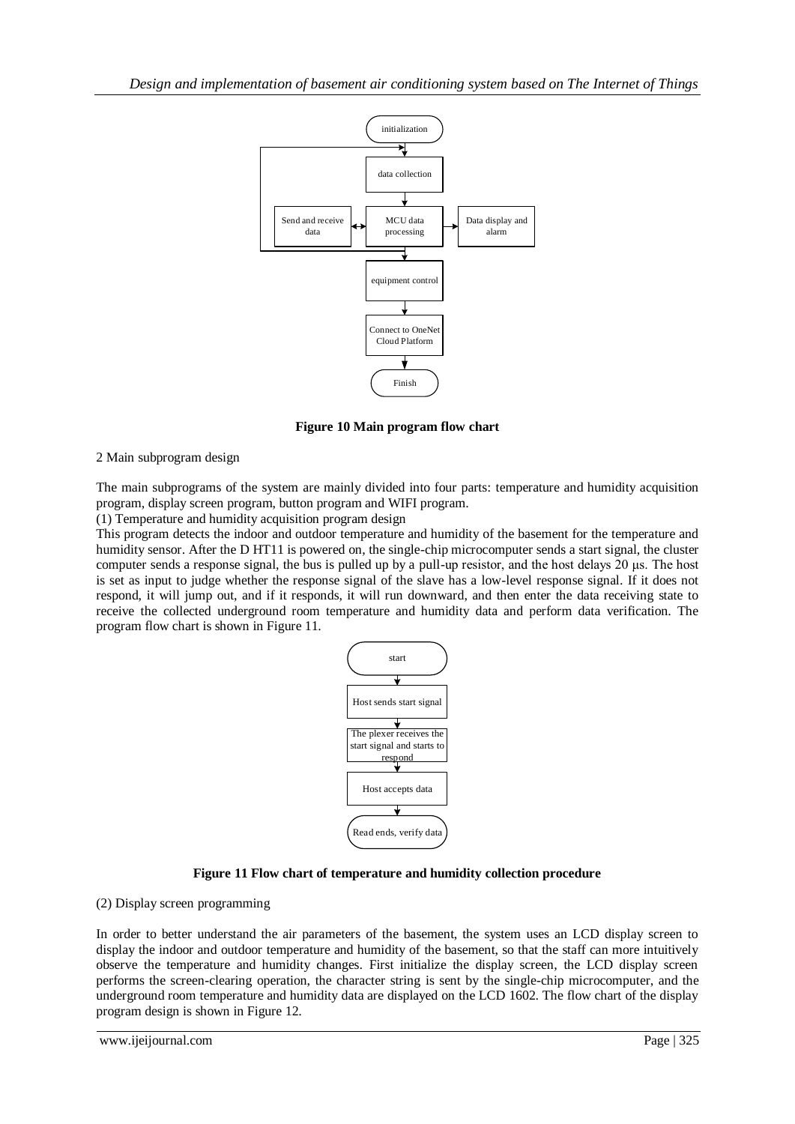

**Figure 10 Main program flow chart**

2 Main subprogram design

The main subprograms of the system are mainly divided into four parts: temperature and humidity acquisition program, display screen program, button program and WIFI program.

(1) Temperature and humidity acquisition program design

This program detects the indoor and outdoor temperature and humidity of the basement for the temperature and humidity sensor. After the D HT11 is powered on, the single-chip microcomputer sends a start signal, the cluster computer sends a response signal, the bus is pulled up by a pull-up resistor, and the host delays 20 μs. The host is set as input to judge whether the response signal of the slave has a low-level response signal. If it does not respond, it will jump out, and if it responds, it will run downward, and then enter the data receiving state to receive the collected underground room temperature and humidity data and perform data verification. The program flow chart is shown in Figure 11.



# **Figure 11 Flow chart of temperature and humidity collection procedure**

(2) Display screen programming

In order to better understand the air parameters of the basement, the system uses an LCD display screen to display the indoor and outdoor temperature and humidity of the basement, so that the staff can more intuitively observe the temperature and humidity changes. First initialize the display screen, the LCD display screen performs the screen-clearing operation, the character string is sent by the single-chip microcomputer, and the underground room temperature and humidity data are displayed on the LCD 1602. The flow chart of the display program design is shown in Figure 12.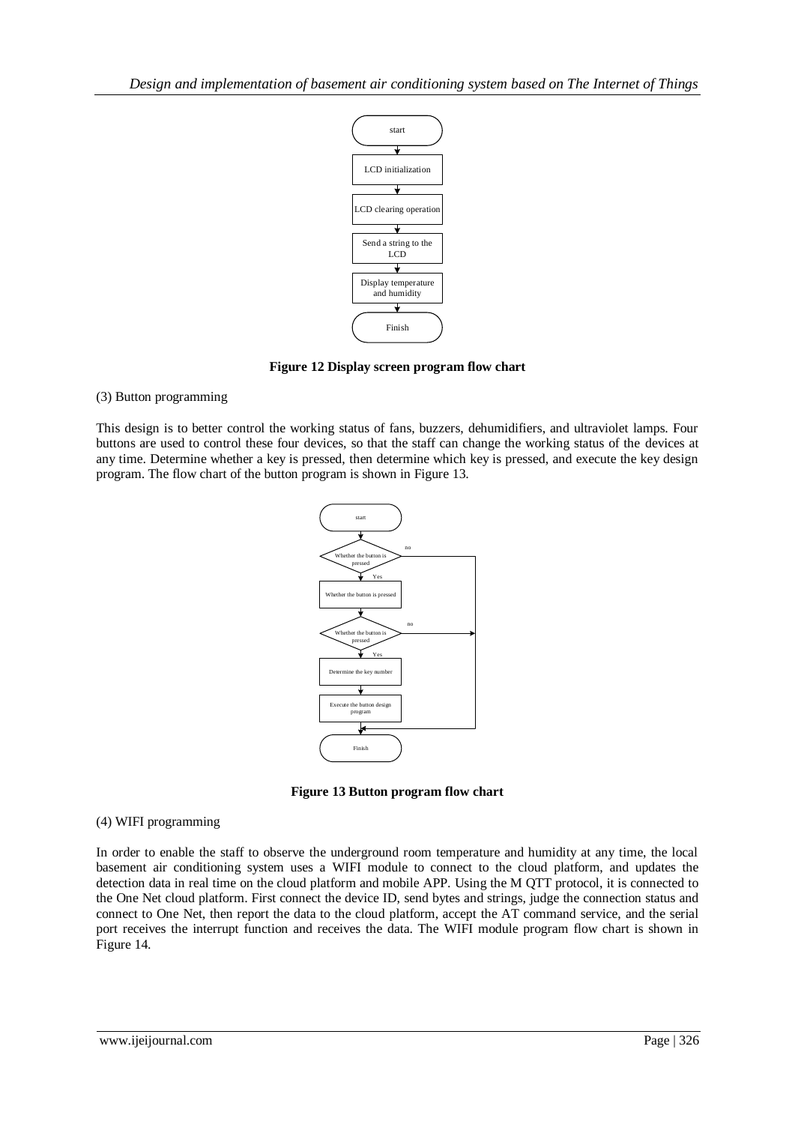

**Figure 12 Display screen program flow chart**

# (3) Button programming

This design is to better control the working status of fans, buzzers, dehumidifiers, and ultraviolet lamps. Four buttons are used to control these four devices, so that the staff can change the working status of the devices at any time. Determine whether a key is pressed, then determine which key is pressed, and execute the key design program. The flow chart of the button program is shown in Figure 13.



**Figure 13 Button program flow chart**

# (4) WIFI programming

Examples and the start of objects the distribution and receivers the distribution of the start of the start of the start of the start of the start of the start of the start of the start of the start of the start of the st In order to enable the staff to observe the underground room temperature and humidity at any time, the local basement air conditioning system uses a WIFI module to connect to the cloud platform, and updates the detection data in real time on the cloud platform and mobile APP. Using the M QTT protocol, it is connected to the One Net cloud platform. First connect the device ID, send bytes and strings, judge the connection status and connect to One Net, then report the data to the cloud platform, accept the AT command service, and the serial port receives the interrupt function and receives the data. The WIFI module program flow chart is shown in Figure 14.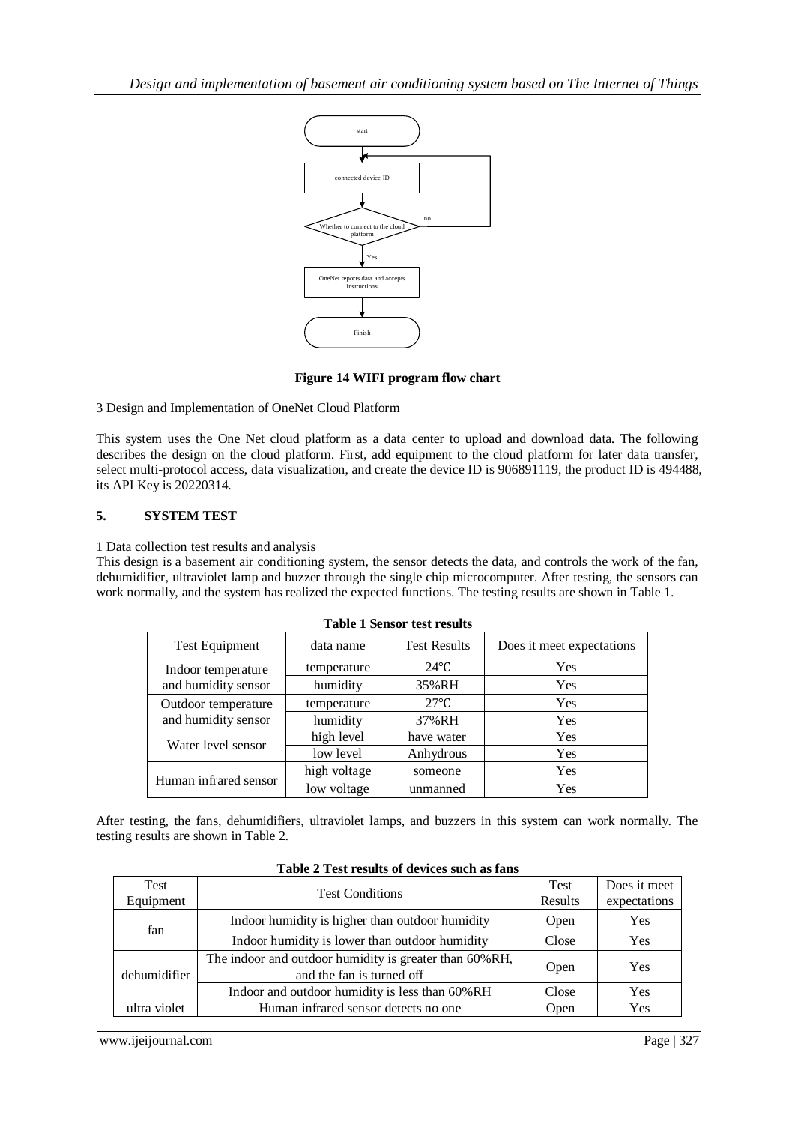

#### **Figure 14 WIFI program flow chart**

# **5. SYSTEM TEST**

|                         |                                                                                                   | start                                                                                                             |                                    |         |                           |              |  |
|-------------------------|---------------------------------------------------------------------------------------------------|-------------------------------------------------------------------------------------------------------------------|------------------------------------|---------|---------------------------|--------------|--|
|                         |                                                                                                   |                                                                                                                   |                                    |         |                           |              |  |
|                         |                                                                                                   |                                                                                                                   |                                    |         |                           |              |  |
|                         |                                                                                                   | connected device ID                                                                                               |                                    |         |                           |              |  |
|                         |                                                                                                   |                                                                                                                   |                                    |         |                           |              |  |
|                         |                                                                                                   | Whether to connect to the cloud                                                                                   | no                                 |         |                           |              |  |
|                         |                                                                                                   | platform                                                                                                          |                                    |         |                           |              |  |
|                         |                                                                                                   | Yes                                                                                                               |                                    |         |                           |              |  |
|                         |                                                                                                   | OneNet reports data and accepts                                                                                   |                                    |         |                           |              |  |
|                         |                                                                                                   | instructions                                                                                                      |                                    |         |                           |              |  |
|                         |                                                                                                   |                                                                                                                   |                                    |         |                           |              |  |
|                         |                                                                                                   | Finish                                                                                                            |                                    |         |                           |              |  |
|                         |                                                                                                   |                                                                                                                   |                                    |         |                           |              |  |
|                         |                                                                                                   | Figure 14 WIFI program flow chart                                                                                 |                                    |         |                           |              |  |
|                         |                                                                                                   | 3 Design and Implementation of OneNet Cloud Platform                                                              |                                    |         |                           |              |  |
|                         |                                                                                                   | This system uses the One Net cloud platform as a data center to upload and download data. The following           |                                    |         |                           |              |  |
|                         |                                                                                                   | lescribes the design on the cloud platform. First, add equipment to the cloud platform for later data transfer,   |                                    |         |                           |              |  |
|                         |                                                                                                   | select multi-protocol access, data visualization, and create the device ID is 906891119, the product ID is 494488 |                                    |         |                           |              |  |
| ts API Key is 20220314. |                                                                                                   |                                                                                                                   |                                    |         |                           |              |  |
|                         |                                                                                                   |                                                                                                                   |                                    |         |                           |              |  |
| <b>SYSTEM TEST</b>      |                                                                                                   |                                                                                                                   |                                    |         |                           |              |  |
|                         | I Data collection test results and analysis                                                       |                                                                                                                   |                                    |         |                           |              |  |
|                         |                                                                                                   | This design is a basement air conditioning system, the sensor detects the data, and controls the work of the fan, |                                    |         |                           |              |  |
|                         |                                                                                                   | dehumidifier, ultraviolet lamp and buzzer through the single chip microcomputer. After testing, the sensors can   |                                    |         |                           |              |  |
|                         |                                                                                                   | work normally, and the system has realized the expected functions. The testing results are shown in Table 1.      |                                    |         |                           |              |  |
|                         |                                                                                                   |                                                                                                                   | <b>Table 1 Sensor test results</b> |         |                           |              |  |
|                         | <b>Test Equipment</b>                                                                             |                                                                                                                   | <b>Test Results</b>                |         |                           |              |  |
|                         |                                                                                                   | data name                                                                                                         |                                    |         | Does it meet expectations |              |  |
|                         | Indoor temperature                                                                                | temperature                                                                                                       | $24^{\circ}$ C                     |         | Yes                       |              |  |
|                         | and humidity sensor                                                                               | humidity                                                                                                          | 35%RH                              |         | Yes                       |              |  |
|                         | Outdoor temperature                                                                               | temperature                                                                                                       | $27^{\circ}$ C                     |         | Yes                       |              |  |
|                         | and humidity sensor                                                                               | humidity                                                                                                          | 37%RH                              |         | Yes                       |              |  |
|                         | Water level sensor                                                                                | high level                                                                                                        | have water                         |         | Yes                       |              |  |
|                         |                                                                                                   | low level                                                                                                         | Anhydrous                          |         | Yes                       |              |  |
| Human infrared sensor   |                                                                                                   | high voltage                                                                                                      | someone                            |         | Yes                       |              |  |
|                         |                                                                                                   | low voltage                                                                                                       | unmanned                           |         | Yes                       |              |  |
|                         |                                                                                                   | After testing, the fans, dehumidifiers, ultraviolet lamps, and buzzers in this system can work normally. The      |                                    |         |                           |              |  |
|                         | esting results are shown in Table 2.                                                              |                                                                                                                   |                                    |         |                           |              |  |
|                         |                                                                                                   |                                                                                                                   |                                    |         |                           |              |  |
|                         |                                                                                                   | Table 2 Test results of devices such as fans                                                                      |                                    |         |                           |              |  |
| Test                    |                                                                                                   |                                                                                                                   |                                    |         | <b>Test</b>               | Does it meet |  |
| Equipment               | <b>Test Conditions</b>                                                                            |                                                                                                                   |                                    | Results | expectations              |              |  |
| fan                     | Indoor humidity is higher than outdoor humidity<br>Indoor humidity is lower than outdoor humidity |                                                                                                                   |                                    | Open    | Yes                       |              |  |
|                         |                                                                                                   |                                                                                                                   |                                    |         | Close                     | Yes          |  |
|                         |                                                                                                   | The indoor and outdoor humidity is greater than 60%RH,                                                            |                                    |         |                           |              |  |
| dehumidifier            |                                                                                                   | and the fan is turned off                                                                                         |                                    |         | Open                      | Yes          |  |
|                         |                                                                                                   | Indoor and outdoor humidity is less than 60%RH                                                                    |                                    |         | Close                     | Yes          |  |
| ultra violet            |                                                                                                   | Human infrared sensor detects no one                                                                              |                                    |         | Open                      | Yes          |  |
|                         |                                                                                                   |                                                                                                                   |                                    |         |                           |              |  |
| www.ijeijournal.com     |                                                                                                   |                                                                                                                   |                                    |         |                           | Page   327   |  |

| <b>Test</b>  | <b>Test Conditions</b>                                                              | <b>Test</b> | Does it meet |
|--------------|-------------------------------------------------------------------------------------|-------------|--------------|
| Equipment    |                                                                                     | Results     | expectations |
| fan          | Indoor humidity is higher than outdoor humidity                                     | Open        | Yes          |
|              | Indoor humidity is lower than outdoor humidity                                      | Close       | Yes          |
| dehumidifier | The indoor and outdoor humidity is greater than 60%RH,<br>and the fan is turned off | Open        | <b>Yes</b>   |
|              | Indoor and outdoor humidity is less than 60%RH                                      | Close       | Yes          |
| ultra violet | Human infrared sensor detects no one.                                               | Open        | Yes          |

#### **Table 2 Test results of devices such as fans**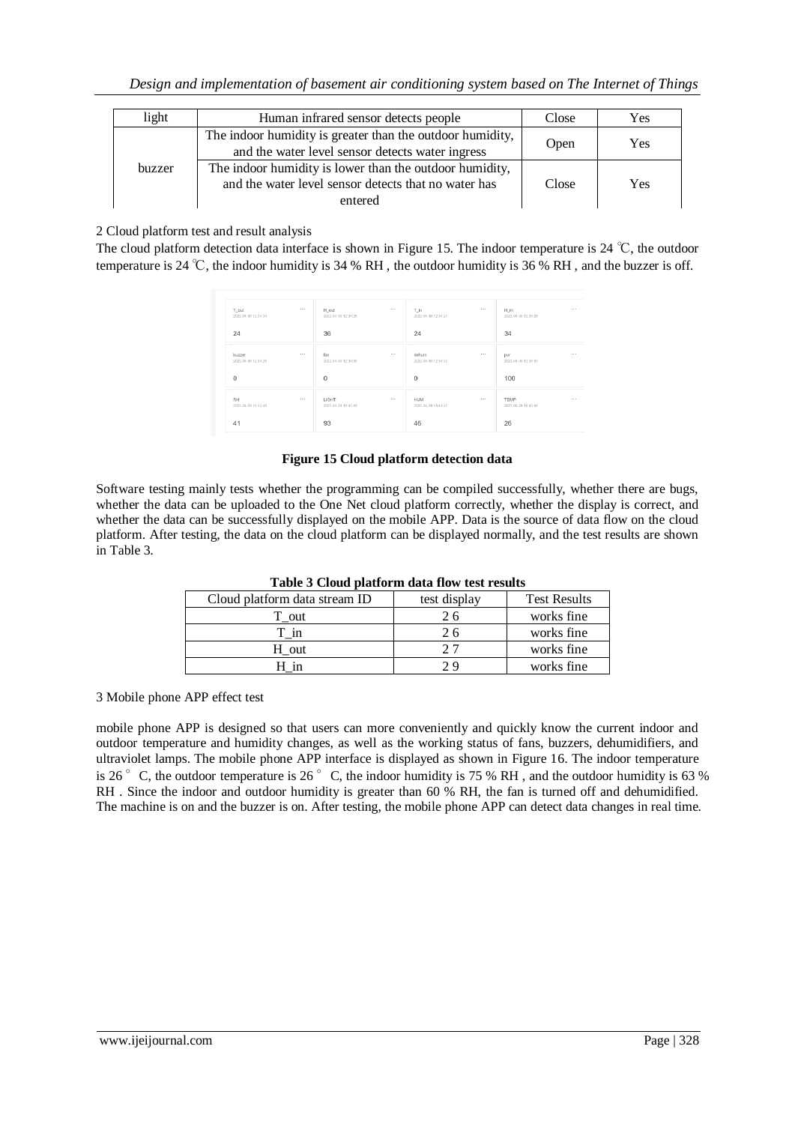| light  | Human infrared sensor detects people                                                                                       | Close | Yes |
|--------|----------------------------------------------------------------------------------------------------------------------------|-------|-----|
|        | The indoor humidity is greater than the outdoor humidity,<br>and the water level sensor detects water ingress              | Open  | Yes |
| buzzer | The indoor humidity is lower than the outdoor humidity,<br>and the water level sensor detects that no water has<br>entered | Close | Yes |

#### 2 Cloud platform test and result analysis

The cloud platform detection data interface is shown in Figure 15. The indoor temperature is 24 ℃, the outdoor temperature is 24 ℃, the indoor humidity is 34 % RH , the outdoor humidity is 36 % RH , and the buzzer is off.

| T_out<br>2022-04-30 12:34:34               | $\cdots$ | H_out<br>2022-04-30 12:34:26 | 1.11     | T_in<br>2022-04-30 12:34:27                 | $\cdots$ | H_in<br>2022-04-30 12:34:28                             | $\cdots$   |
|--------------------------------------------|----------|------------------------------|----------|---------------------------------------------|----------|---------------------------------------------------------|------------|
| 24                                         |          | 36                           |          | 24                                          |          | 34                                                      |            |
| buzzer<br>2022-04-30 12:34:29              | 1999     | fan<br>2022-04-30 12:34:30   |          | dehum<br>2022-04-30 12:34:32                |          | pur<br>2022-04-30 12:34:33                              | <b>ALC</b> |
| 0                                          |          | $\mathbf 0$                  |          | $\mathbf 0$                                 |          | 100                                                     |            |
| $\sim$<br><b>RH</b><br>2022-04-29 18:43:45 | $\cdots$ | LIGHT<br>2022-04-29 18:43:46 | $\cdots$ | $\sim$<br><b>HUM</b><br>2022-04-29 18:43:47 | $\cdots$ | $\overline{\phantom{a}}$<br>TEMP<br>2022-04-29 18:43:44 | 1.11       |
| 41                                         |          | 93                           |          | 46                                          |          | 26                                                      |            |

#### **Figure 15 Cloud platform detection data**

Software testing mainly tests whether the programming can be compiled successfully, whether there are bugs, whether the data can be uploaded to the One Net cloud platform correctly, whether the display is correct, and whether the data can be successfully displayed on the mobile APP. Data is the source of data flow on the cloud platform. After testing, the data on the cloud platform can be displayed normally, and the test results are shown in Table 3.

| Table 5 Cloud platform data how test results |              |                     |  |  |  |  |  |
|----------------------------------------------|--------------|---------------------|--|--|--|--|--|
| Cloud platform data stream ID                | test display | <b>Test Results</b> |  |  |  |  |  |
| T out                                        | 26           | works fine          |  |  |  |  |  |
| T in                                         | 26           | works fine          |  |  |  |  |  |
| H out                                        | 27           | works fine          |  |  |  |  |  |
| 1n                                           | າ ຊ          | works fine          |  |  |  |  |  |

**Table 3 Cloud platform data flow test results**

3 Mobile phone APP effect test

mobile phone APP is designed so that users can more conveniently and quickly know the current indoor and outdoor temperature and humidity changes, as well as the working status of fans, buzzers, dehumidifiers, and ultraviolet lamps. The mobile phone APP interface is displayed as shown in Figure 16. The indoor temperature is 26 $\degree$  C, the outdoor temperature is 26 $\degree$  C, the indoor humidity is 75 % RH, and the outdoor humidity is 63 % RH . Since the indoor and outdoor humidity is greater than 60 % RH, the fan is turned off and dehumidified. The machine is on and the buzzer is on. After testing, the mobile phone APP can detect data changes in real time.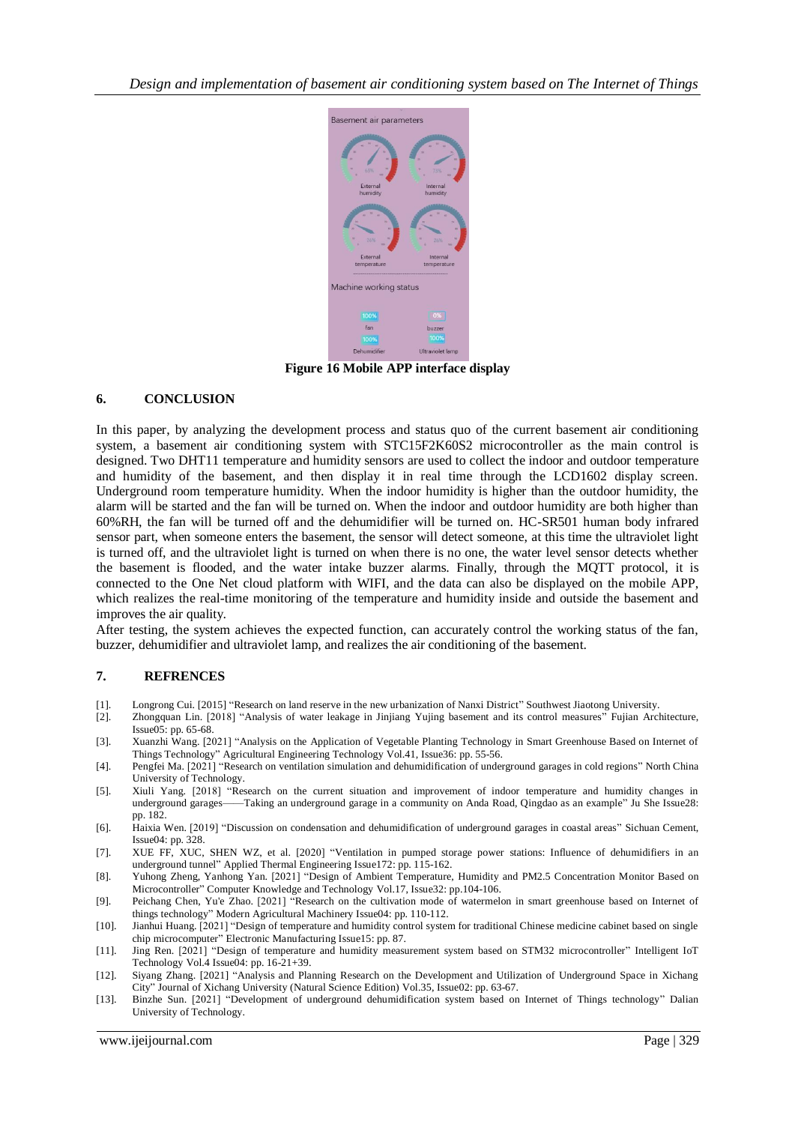

**Figure 16 Mobile APP interface display**

# **6. CONCLUSION**

In this paper, by analyzing the development process and status quo of the current basement air conditioning system, a basement air conditioning system with STC15F2K60S2 microcontroller as the main control is designed. Two DHT11 temperature and humidity sensors are used to collect the indoor and outdoor temperature and humidity of the basement, and then display it in real time through the LCD1602 display screen. Underground room temperature humidity. When the indoor humidity is higher than the outdoor humidity, the alarm will be started and the fan will be turned on. When the indoor and outdoor humidity are both higher than 60%RH, the fan will be turned off and the dehumidifier will be turned on. HC-SR501 human body infrared sensor part, when someone enters the basement, the sensor will detect someone, at this time the ultraviolet light is turned off, and the ultraviolet light is turned on when there is no one, the water level sensor detects whether the basement is flooded, and the water intake buzzer alarms. Finally, through the MQTT protocol, it is connected to the One Net cloud platform with WIFI, and the data can also be displayed on the mobile APP, which realizes the real-time monitoring of the temperature and humidity inside and outside the basement and improves the air quality.

After testing, the system achieves the expected function, can accurately control the working status of the fan, buzzer, dehumidifier and ultraviolet lamp, and realizes the air conditioning of the basement.

# **7. REFRENCES**

- [1]. Longrong Cui. [2015] "Research on land reserve in the new urbanization of Nanxi District" Southwest Jiaotong University.
- [2]. Zhongquan Lin. [2018] "Analysis of water leakage in Jinjiang Yujing basement and its control measures" Fujian Architecture, Issue05: pp. 65-68.
- [3]. Xuanzhi Wang. [2021] "Analysis on the Application of Vegetable Planting Technology in Smart Greenhouse Based on Internet of Things Technology" Agricultural Engineering Technology Vol.41, Issue36: pp. 55-56.
- [4]. Pengfei Ma. [2021] "Research on ventilation simulation and dehumidification of underground garages in cold regions" North China University of Technology.
- [5]. Xiuli Yang. [2018] "Research on the current situation and improvement of indoor temperature and humidity changes in underground garages——Taking an underground garage in a community on Anda Road, Qingdao as an example" Ju She Issue28: pp. 182.
- [6]. Haixia Wen. [2019] "Discussion on condensation and dehumidification of underground garages in coastal areas" Sichuan Cement, Issue04: pp. 328.
- [7]. XUE FF, XUC, SHEN WZ, et al. [2020] "Ventilation in pumped storage power stations: Influence of dehumidifiers in an underground tunnel" Applied Thermal Engineering Issue172: pp. 115-162.
- [8]. Yuhong Zheng, Yanhong Yan. [2021] "Design of Ambient Temperature, Humidity and PM2.5 Concentration Monitor Based on Microcontroller" Computer Knowledge and Technology Vol.17, Issue32: pp.104-106.
- [9]. Peichang Chen, Yu'e Zhao. [2021] "Research on the cultivation mode of watermelon in smart greenhouse based on Internet of things technology" Modern Agricultural Machinery Issue04: pp. 110-112.
- [10]. Jianhui Huang. [2021] "Design of temperature and humidity control system for traditional Chinese medicine cabinet based on single chip microcomputer" Electronic Manufacturing Issue15: pp. 87.
- [11]. Jing Ren. [2021] "Design of temperature and humidity measurement system based on STM32 microcontroller" Intelligent IoT Technology Vol.4 Issue04: pp. 16-21+39.
- [12]. Siyang Zhang. [2021] "Analysis and Planning Research on the Development and Utilization of Underground Space in Xichang City" Journal of Xichang University (Natural Science Edition) Vol.35, Issue02: pp. 63-67.
- [13]. Binzhe Sun. [2021] "Development of underground dehumidification system based on Internet of Things technology" Dalian University of Technology.